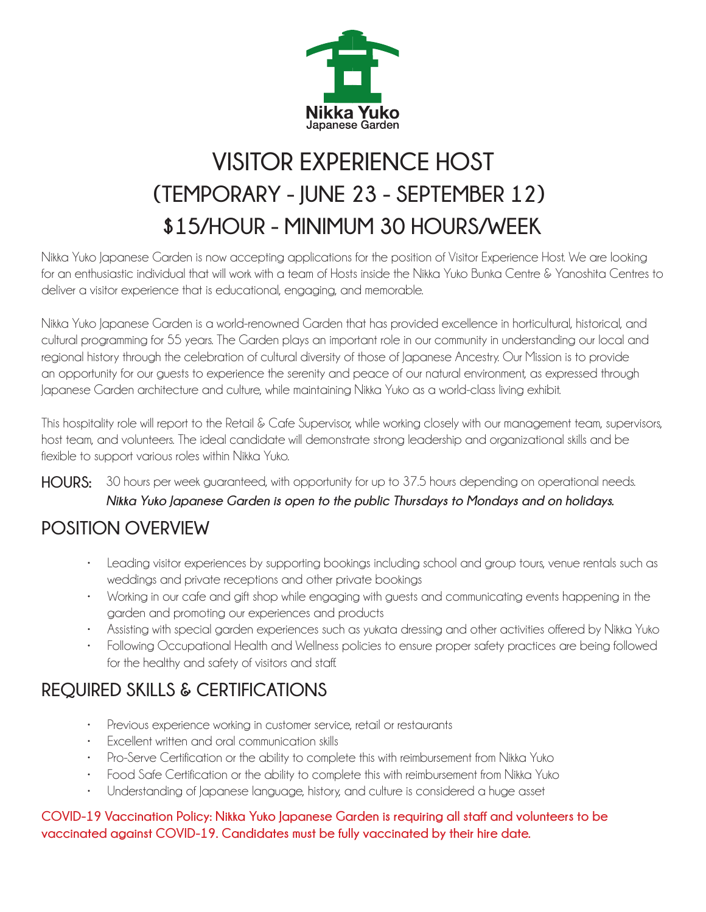

# **VISITOR EXPERIENCE HOST (TEMPORARY - JUNE 23 - SEPTEMBER 12) \$15/HOUR - MINIMUM 30 HOURS/WEEK**

Nikka Yuko Japanese Garden is now accepting applications for the position of Visitor Experience Host. We are looking for an enthusiastic individual that will work with a team of Hosts inside the Nikka Yuko Bunka Centre & Yanoshita Centres to deliver a visitor experience that is educational, engaging, and memorable.

Nikka Yuko Japanese Garden is a world-renowned Garden that has provided excellence in horticultural, historical, and cultural programming for 55 years. The Garden plays an important role in our community in understanding our local and regional history through the celebration of cultural diversity of those of Japanese Ancestry. Our Mission is to provide an opportunity for our guests to experience the serenity and peace of our natural environment, as expressed through Japanese Garden architecture and culture, while maintaining Nikka Yuko as a world-class living exhibit.

This hospitality role will report to the Retail & Cafe Supervisor, while working closely with our management team, supervisors, host team, and volunteers. The ideal candidate will demonstrate strong leadership and organizational skills and be flexible to support various roles within Nikka Yuko.

**HOURS:** 30 hours per week guaranteed, with opportunity for up to 37.5 hours depending on operational needs. *Nikka Yuko Japanese Garden is open to the public Thursdays to Mondays and on holidays.*

### **POSITION OVERVIEW**

- Leading visitor experiences by supporting bookings including school and group tours, venue rentals such as weddings and private receptions and other private bookings
- Working in our cafe and gift shop while engaging with guests and communicating events happening in the garden and promoting our experiences and products
- Assisting with special garden experiences such as yukata dressing and other activities offered by Nikka Yuko
- Following Occupational Health and Wellness policies to ensure proper safety practices are being followed for the healthy and safety of visitors and staff.

# **REQUIRED SKILLS & CERTIFICATIONS**

- Previous experience working in customer service, retail or restaurants
- Excellent written and oral communication skills
- Pro-Serve Certification or the ability to complete this with reimbursement from Nikka Yuko
- Food Safe Certification or the ability to complete this with reimbursement from Nikka Yuko
- Understanding of Japanese language, history, and culture is considered a huge asset

#### **COVID-19 Vaccination Policy: Nikka Yuko Japanese Garden is requiring all staff and volunteers to be vaccinated against COVID-19. Candidates must be fully vaccinated by their hire date.**